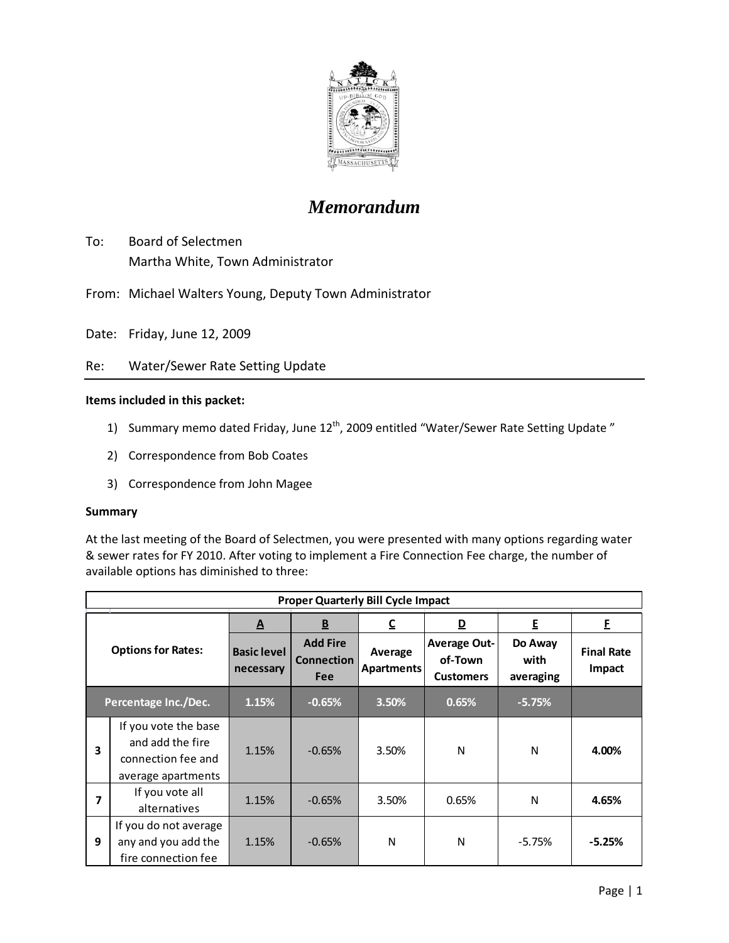

# *Memorandum*

- To: Board of Selectmen Martha White, Town Administrator
- From: Michael Walters Young, Deputy Town Administrator
- Date: Friday, June 12, 2009
- Re: Water/Sewer Rate Setting Update

### **Items included in this packet:**

- 1) Summary memo dated Friday, June 12<sup>th</sup>, 2009 entitled "Water/Sewer Rate Setting Update"
- 2) Correspondence from Bob Coates
- 3) Correspondence from John Magee

#### **Summary**

At the last meeting of the Board of Selectmen, you were presented with many options regarding water & sewer rates for FY 2010. After voting to implement a Fire Connection Fee charge, the number of available options has diminished to three:

| <b>Proper Quarterly Bill Cycle Impact</b> |                                                                                      |                                 |                                                    |                              |                                                    |                              |                             |  |
|-------------------------------------------|--------------------------------------------------------------------------------------|---------------------------------|----------------------------------------------------|------------------------------|----------------------------------------------------|------------------------------|-----------------------------|--|
| <b>Options for Rates:</b>                 |                                                                                      | A                               | $\underline{\mathsf{B}}$                           | C                            | D                                                  | E                            | F.                          |  |
|                                           |                                                                                      | <b>Basic level</b><br>necessary | <b>Add Fire</b><br><b>Connection</b><br><b>Fee</b> | Average<br><b>Apartments</b> | <b>Average Out-</b><br>of-Town<br><b>Customers</b> | Do Away<br>with<br>averaging | <b>Final Rate</b><br>Impact |  |
| Percentage Inc./Dec.                      |                                                                                      | 1.15%                           | $-0.65%$                                           | 3.50%                        | 0.65%                                              | $-5.75%$                     |                             |  |
| 3                                         | If you vote the base<br>and add the fire<br>connection fee and<br>average apartments | 1.15%                           | $-0.65%$                                           | 3.50%                        | N                                                  | N                            | 4.00%                       |  |
| 7                                         | If you vote all<br>alternatives                                                      | 1.15%                           | $-0.65%$                                           | 3.50%                        | 0.65%                                              | N                            | 4.65%                       |  |
| 9                                         | If you do not average<br>any and you add the<br>fire connection fee                  | 1.15%                           | $-0.65%$                                           | N                            | N                                                  | $-5.75%$                     | $-5.25%$                    |  |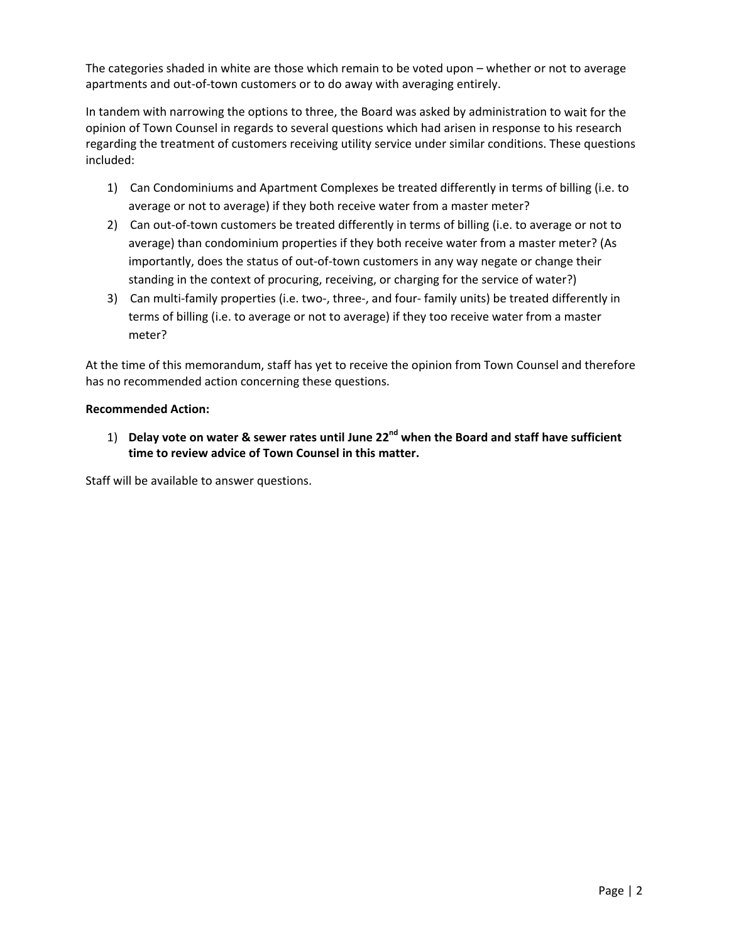The categories shaded in white are those which remain to be voted upon – whether or not to average apartments and out-of-town customers or to do away with averaging entirely.

In tandem with narrowing the options to three, the Board was asked by administration to wait for the opinion of Town Counsel in regards to several questions which had arisen in response to his research regarding the treatment of customers receiving utility service under similar conditions. These questions included:

- 1) Can Condominiums and Apartment Complexes be treated differently in terms of billing (i.e. to average or not to average) if they both receive water from a master meter?
- 2) Can out-of-town customers be treated differently in terms of billing (i.e. to average or not to average) than condominium properties if they both receive water from a master meter? (As importantly, does the status of out-of-town customers in any way negate or change their standing in the context of procuring, receiving, or charging for the service of water?)
- 3) Can multi-family properties (i.e. two-, three-, and four- family units) be treated differently in terms of billing (i.e. to average or not to average) if they too receive water from a master meter?

At the time of this memorandum, staff has yet to receive the opinion from Town Counsel and therefore has no recommended action concerning these questions.

## **Recommended Action:**

1) **Delay vote on water & sewer rates until June 22nd when the Board and staff have sufficient time to review advice of Town Counsel in this matter.**

Staff will be available to answer questions.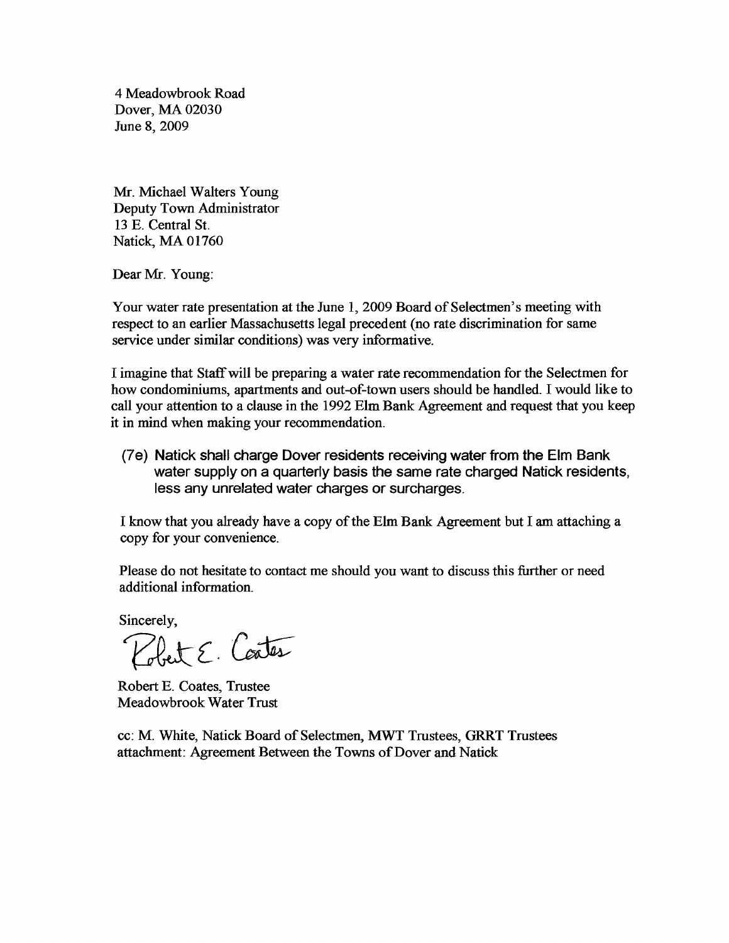4 Meadowbrook Road Dover, MA 02030 June 8,2009

Mr. Michael Walters Young Deputy Town Administrator 13 E. Central St. Natick, MA 01760

Dear Mr. Young:

Your water rate presentation at the June 1, 2009 Board of Selectmen's meeting with respect to an earlier Massachusetts legal precedent (no rate discrimination for same service under similar conditions) was very informative.

I imagine that Staffwill be preparing a water rate recommendation for the Selectmen for how condominiums, apartments and out-of-town users should be handled. I would like to call your attention to a clause in the 1992 Elm Bank Agreement and request that you keep it in mind when making your recommendation.

(7e) Natick shall charge Dover residents receiving water from the Elm Bank water supply on a quarterly basis the same rate charged Natick residents, less any unrelated water charges or surcharges.

I know that you already have a copy ofthe Elm Bank Agreement but I am attaching a copy for your convenience.

Please do not hesitate to contact me should you want to discuss this further or need additional information.

Sincerely,

Pobert E. Contes

Robert E. Coates, Trustee Meadowbrook Water Trust

cc: M. White, Natick Board of Selectmen, MWT Trustees, GRRT Trustees attachment: Agreement Between the Towns of Dover and Natick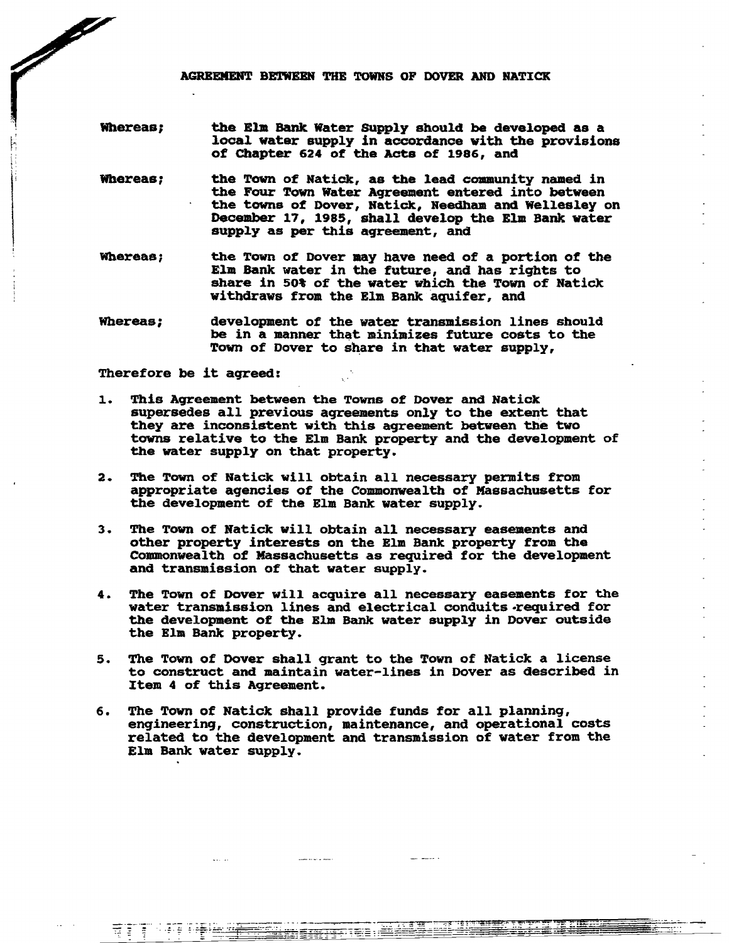AGREEMENT BETWEEN THE TOWNS OF DOVER AND NATICK

- Whereas; the Elm Bank Water Supply should be developed as a local water supply in accordance with the provisions of Chapter 624 of the Acts of 1986, and
- Whereas; the Town of Natick, as the lead community named in the Four Town Water Agreement entered into between the towns of Dover, Natick, Needham and Wellesley on December 17, 1985, shall develop the Elm Bank water supply as per this agreement, and
- Whereas; the Town of Dover may have need of a portion of the Elm Bank water in the future, and has rights to Ī share in 50% of the water which the Town of Natick withdraws from the Elm Bank aquifer, and
- Whereas; development of the water transmission lines should be in a manner that minimizes future costs to the Town of Dover to share in that water supply,

Therefore be it agreed:

**Contract Contract Contract Contract Contract Contract Contract Contract Contract Contract Contract Contract Contract Contract Contract Contract Contract Contract Contract Contract Contract Contract Contract Contract Contr** 

- 1. This Agreement between the Towns of Dover and Natick supersedes all previous agreements only to the extent that they are inconsistent with this agreement between the two towns relative to the Elm Bank property and the development of the water supply on that property.
- 2. The Town of Natick will obtain all necessary permits from appropriate aqencies of the Commonwealth of Massachusetts for the development of the Elm Bank water supply.
- 3. The Town of Natick will obtain all necessary easements and other property interests on the Elm Bank property from the Commonwealth of Massachusetts as required for the development and transmission of that water supply.
- 4. The Town of Dover will acquire all necessary easements for the water transmission lines and electrical conduits-required for the development of the Elm Bank water supply in Dover outside the Elm Bank property.
- 5. The Town of Dover shall grant to the Town of Natick a license to construct and maintain water-lines in Dover as described in Item 4 of this Agreement.
- 6. The Town of Natick shall provide funds for all planning, enqineering, construction, maintenance, and operational costs related to the development and transmission of water from the Elm Bank water supply.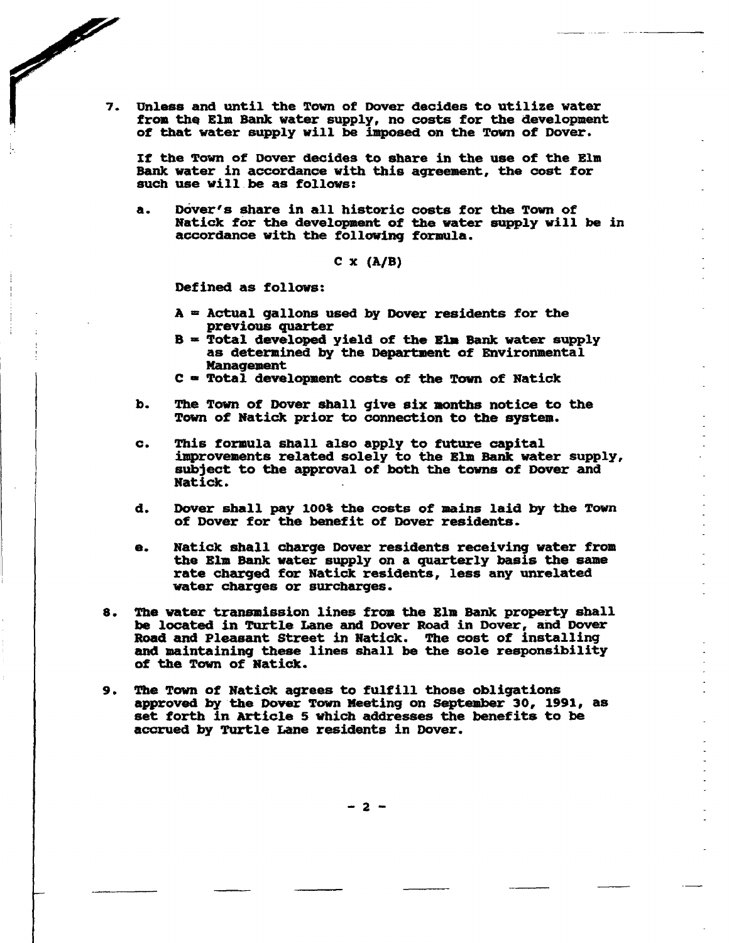7. Unless and until the Town of Dover decides to utilize water from the Elm Bank water supply, no costs for the development of that water supply will be imposed on the Town of Dover.

If the Town of Dover decides to sbare in the use of the Elm Bank water in accordance with this agreement, the cost for such use will be as follows:

a. Dover's share in all historic costs for the Town of Natick for the development of the water supply will be in accordance with the following formula.

 $C \times (A/B)$ 

Defined as follows:

**Contract Contract Contract Contract Contract Contract Contract Contract Contract Contract Contract Contract Contract Contract Contract Contract Contract Contract Contract Contract Contract Contract Contract Contract Contr** 

- $A =$  Actual gallons used by Dover residents for the previous quarter
- $B = Total$  developed yield of the Elm Bank water supply as determined by the Department of Environmental **Management**
- $C = Total$  development costs of the Town of Natick
- b. The Town of Dover shall give six months notice to the Town of Natick prior to connection to the system.
- c. This formula shall also apply to future capital improvements related solely to the Blm Bank water supply, subject to the approval of both the towns of Dover and Natick.
- d. Dover shall pay 100% the costs of mains laid by the Town of Dover for the benefit of Dover residents.
- e. Natick shall charge Dover residents receiving water from the Blm Bank water supply on a quarterly basis the same rate charged for Natick residents, less any unrelated water charges or surcharges.
- 8. The water transmission lines from the Elm Bank property shall be located in 'l'urtle Lane and Dover Road in Dover, and Dover Road and Pleasant street in Natick. The cost of installing and maintaininq these lines shall be the sole responsibility of the Town of Natick.
- 9. The Town of Natick agrees to fulfill those obligations approved by the Dover Town Meeting on September 30, 1991, as set forth in Article 5 which addresses the benefits to be accrued by Turtle Lane residents in Dover.

- 2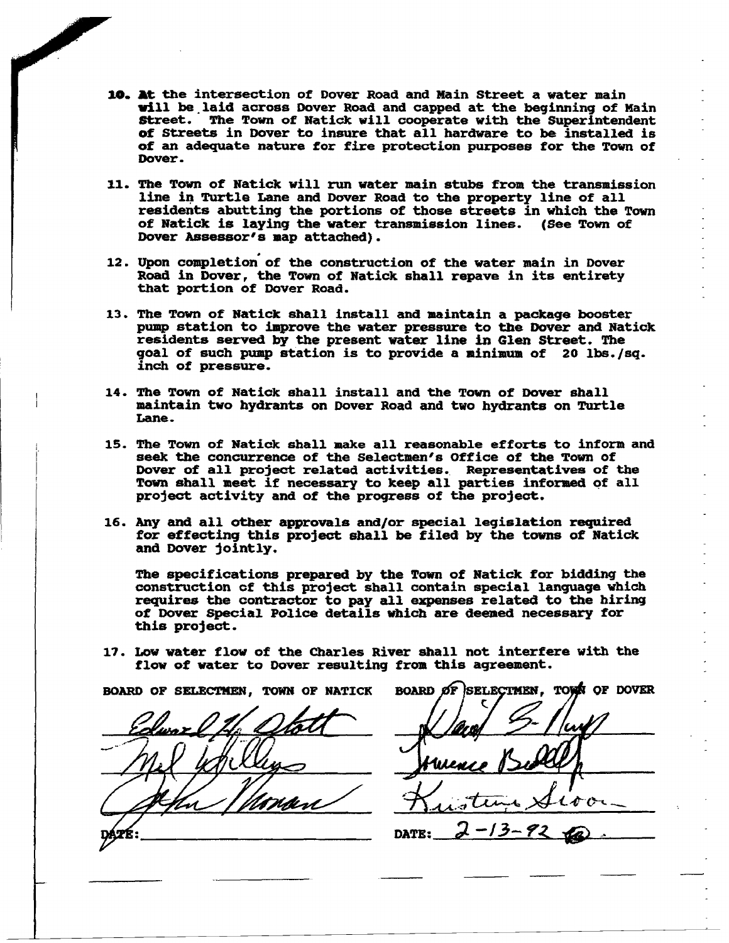- 10. At the intersection of Dover Road and Main Street a water main will be laid across Dover Road and capped at the beginning of Main ftreet. The Town of Natick will cooperate with the Superintendent of Streets in Dover to insure that all hardware to be installed is of an adequate nature for fire protection purposes for the Town of Dover.
- 11. The Town of Natick will run water main stubs from the transmission line in Turtle Lane and Dover Road to the property line of all residents abutting the portions of those streets in which the Town of Natick is laying the water transmission lines. (See Town of Dover Assessor's map attached).
- 12. Upon completion of the construction of the water main in Dover Road in Dover, the Town of Natick shall repave in its entirety that portion of Dover Road.
- 13. The Town of Natick shall install and maintain a package booster pump station to improve the water pressure to the Dover and Natick residents served by the present water line in Glen street. The goal of such pump station is to provide a minimum of 20 lbs./sq. inch of pressure.
- 14. The Town of Natick shall install and the Town of Dover shall maintain two hydrants on Dover Road and two hydrants on Turtle Lane.
- 15. The Town of Natick shall make all reasonable efforts to inform and seek the concurrence of the Selectmen's Office of the Town of Dover of all project related activities. Representatives of the Town shall meet if necessary to keep all parties informed of all project activity and of the progress of the project.
- 16. Any and all other approvals and/or special legislation required for effecting this project shall be filed by the towns of Natick and Dover jointly.

The specifications prepared by the Town of Natick for bidding the construction of this project shall contain special language which requires the contractor to pay all expenses related to the hiring of Dover Special Police details which are deemed necessary for this project.

17. Low water flow of the Charles River shall not interfere with the flow of water to Dover resulting from this agreement.

BOARD OF SELECTMEN. TOWN OF NATICK

BOARD OF SELECTMEN. TOWN OF DOVER DATE: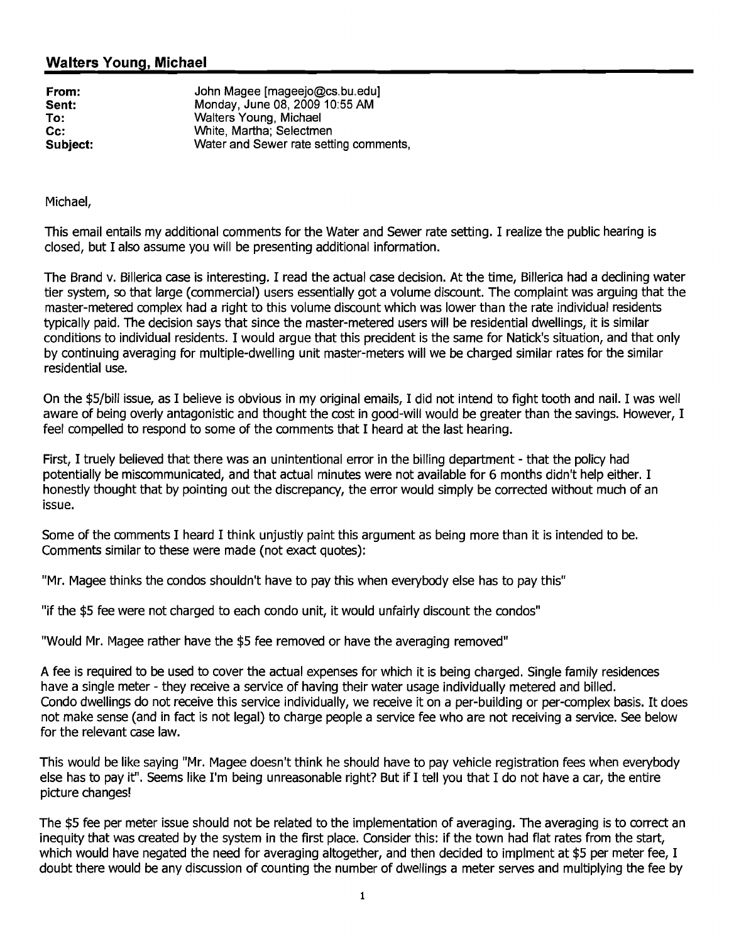# Walters Young, Michael

| From:    |  |
|----------|--|
| Sent:    |  |
| То:      |  |
| Cc:      |  |
| Subiect: |  |

John Magee [mageejo@cs.bu.edu] Monday, June 08, 2009 10:55 AM Walters Young, Michael White, Martha; Selectmen Water and Sewer rate setting comments,

Michael,

This email entails my additional comments for the Water and Sewer rate setting. I realize the public hearing is closed, but I also assume you will be presenting additional information.

The Brand v. Billerica case is interesting. I read the actual case decision. At the time, Billerica had a declining water tier system, so that large (commercial) users essentially got a volume discount. The complaint was arguing that the master-metered complex had a right to this volume discount which was lower than the rate individual residents typically paid. The decision says that since the master-metered users will be residential dwellings, it is similar conditions to individual residents. I would argue that this precident is the same for Natick's situation, and that only by continuing averaging for multiple-dwelling unit master-meters will we be charged similar rates for the similar residential use.

On the \$5/bill issue, as I believe is obvious in my original emails, I did not intend to fight tooth and nail. I was well aware of being overly antagonistic and thought the cost in good-will would be greater than the savings. However, I feel compelled to respond to some of the comments that I heard at the last hearing.

First, I truely believed that there was an unintentional error in the billing department - that the policy had potentially be miscommunicated, and that actual minutes were not available for 6 months didn't help either. I honestly thought that by pointing out the discrepancy, the error would simply be corrected without much of an issue.

Some of the comments I heard I think unjustly paint this argument as being more than it is intended to be. Comments similar to these were made (not exact quotes):

"Mr. Magee thinks the condos shouldn't have to pay this when everybody else has to pay this"

"if the \$5 fee were not charged to each condo unit, it would unfairly discount the condos"

"Would Mr. Magee rather have the \$5 fee removed or have the averaging removed"

A fee is required to be used to cover the actual expenses for which it is being charged. Single family residences have a single meter - they receive a service of having their water usage individually metered and billed. Condo dwellings do not receive this service individually, we receive it on a per-building or per-complex basis. It does not make sense (and in fact is not legal) to charge people a service fee who are not receiving a service. See below for the relevant case law.

This would be like saying "Mr. Magee doesn't think he should have to pay vehicle registration fees when everybody else has to pay it". Seems like I'm being unreasonable right? But if I tell you that I do not have a car, the entire picture changes!

The \$5 fee per meter issue should not be related to the implementation of averaging. The averaging is to correct an inequity that was created by the system in the first place. Consider this: if the town had flat rates from the start, which would have negated the need for averaging altogether, and then decided to implment at \$5 per meter fee, I doubt there would be any discussion of counting the number of dwellings a meter serves and multiplying the fee by